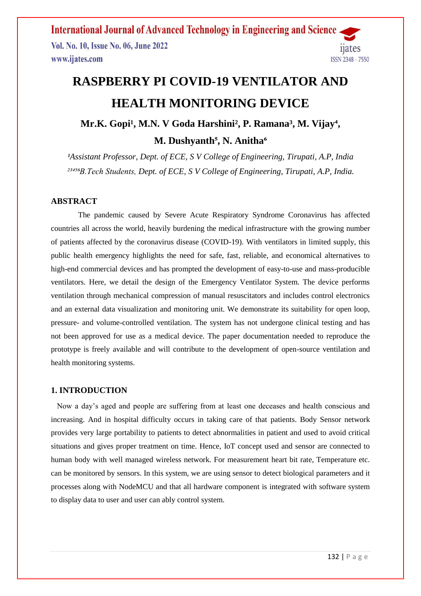**International Journal of Advanced Technology in Engineering and Science** Vol. No. 10, Issue No. 06, June 2022 1ates www.ijates.com **ISSN 2348 - 7550** 

# **RASPBERRY PI COVID-19 VENTILATOR AND HEALTH MONITORING DEVICE**

Mr.K. Gopi<sup>1</sup>, M.N. V Goda Harshini<sup>2</sup>, P. Ramana<sup>3</sup>, M. Vijay<sup>4</sup>, M. Dushyanth<sup>5</sup>, N. Anitha<sup>6</sup>

*¹Assistant Professor, Dept. of ECE, S V College of Engineering, Tirupati, A.P, India ²³⁴⁵⁶B.Tech Students, Dept. of ECE, S V College of Engineering, Tirupati, A.P, India.*

#### **ABSTRACT**

 The pandemic caused by Severe Acute Respiratory Syndrome Coronavirus has affected countries all across the world, heavily burdening the medical infrastructure with the growing number of patients affected by the coronavirus disease (COVID-19). With ventilators in limited supply, this public health emergency highlights the need for safe, fast, reliable, and economical alternatives to high-end commercial devices and has prompted the development of easy-to-use and mass-producible ventilators. Here, we detail the design of the Emergency Ventilator System. The device performs ventilation through mechanical compression of manual resuscitators and includes control electronics and an external data visualization and monitoring unit. We demonstrate its suitability for open loop, pressure- and volume-controlled ventilation. The system has not undergone clinical testing and has not been approved for use as a medical device. The paper documentation needed to reproduce the prototype is freely available and will contribute to the development of open-source ventilation and health monitoring systems.

#### **1. INTRODUCTION**

Now a day's aged and people are suffering from at least one deceases and health conscious and increasing. And in hospital difficulty occurs in taking care of that patients. Body Sensor network provides very large portability to patients to detect abnormalities in patient and used to avoid critical situations and gives proper treatment on time. Hence, IoT concept used and sensor are connected to human body with well managed wireless network. For measurement heart bit rate, Temperature etc. can be monitored by sensors. In this system, we are using sensor to detect biological parameters and it processes along with NodeMCU and that all hardware component is integrated with software system to display data to user and user can ably control system.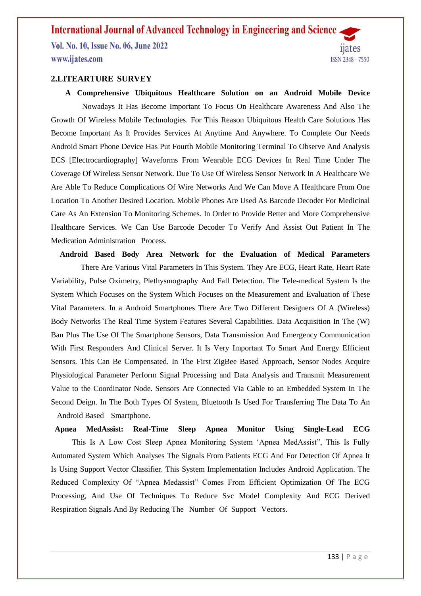## **International Journal of Advanced Technology in Engineering and Science**.

Vol. No. 10, Issue No. 06, June 2022 www.ijates.com

# 1ates ISSN 2348 - 7550

#### **2.LITEARTURE SURVEY**

 **A Comprehensive Ubiquitous Healthcare Solution on an Android Mobile Device** Nowadays It Has Become Important To Focus On Healthcare Awareness And Also The Growth Of Wireless Mobile Technologies. For This Reason Ubiquitous Health Care Solutions Has Become Important As It Provides Services At Anytime And Anywhere. To Complete Our Needs Android Smart Phone Device Has Put Fourth Mobile Monitoring Terminal To Observe And Analysis ECS [Electrocardiography] Waveforms From Wearable ECG Devices In Real Time Under The Coverage Of Wireless Sensor Network. Due To Use Of Wireless Sensor Network In A Healthcare We Are Able To Reduce Complications Of Wire Networks And We Can Move A Healthcare From One Location To Another Desired Location. Mobile Phones Are Used As Barcode Decoder For Medicinal Care As An Extension To Monitoring Schemes. In Order to Provide Better and More Comprehensive Healthcare Services. We Can Use Barcode Decoder To Verify And Assist Out Patient In The Medication Administration Process.

**Android Based Body Area Network for the Evaluation of Medical Parameters**

 There Are Various Vital Parameters In This System. They Are ECG, Heart Rate, Heart Rate Variability, Pulse Oximetry, Plethysmography And Fall Detection. The Tele-medical System Is the System Which Focuses on the System Which Focuses on the Measurement and Evaluation of These Vital Parameters. In a Android Smartphones There Are Two Different Designers Of A (Wireless) Body Networks The Real Time System Features Several Capabilities. Data Acquisition In The (W) Ban Plus The Use Of The Smartphone Sensors, Data Transmission And Emergency Communication With First Responders And Clinical Server. It Is Very Important To Smart And Energy Efficient Sensors. This Can Be Compensated. In The First ZigBee Based Approach, Sensor Nodes Acquire Physiological Parameter Perform Signal Processing and Data Analysis and Transmit Measurement Value to the Coordinator Node. Sensors Are Connected Via Cable to an Embedded System In The Second Deign. In The Both Types Of System, Bluetooth Is Used For Transferring The Data To An Android Based Smartphone.

 **Apnea MedAssist: Real-Time Sleep Apnea Monitor Using Single-Lead ECG** This Is A Low Cost Sleep Apnea Monitoring System 'Apnea MedAssist", This Is Fully Automated System Which Analyses The Signals From Patients ECG And For Detection Of Apnea It Is Using Support Vector Classifier. This System Implementation Includes Android Application. The Reduced Complexity Of "Apnea Medassist" Comes From Efficient Optimization Of The ECG Processing, And Use Of Techniques To Reduce Svc Model Complexity And ECG Derived Respiration Signals And By Reducing The Number Of Support Vectors.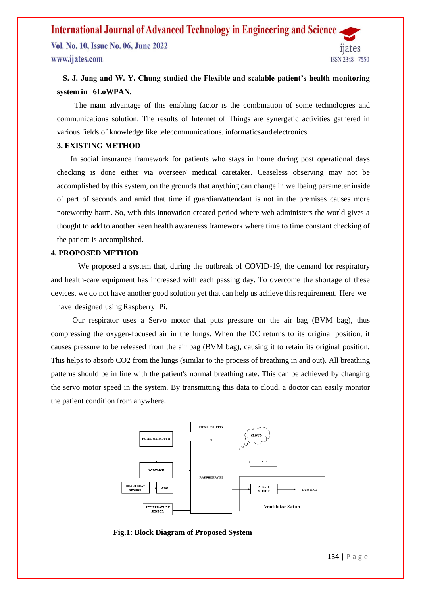## **International Journal of Advanced Technology in Engineering and Science**

Vol. No. 10, Issue No. 06, June 2022 www.ijates.com



### **S. J. Jung and W. Y. Chung studied the Flexible and scalable patient's health monitoring system in 6LoWPAN.**

 The main advantage of this enabling factor is the combination of some technologies and communications solution. The results of Internet of Things are synergetic activities gathered in various fields of knowledge like telecommunications, informaticsandelectronics.

#### **3. EXISTING METHOD**

 In social insurance framework for patients who stays in home during post operational days checking is done either via overseer/ medical caretaker. Ceaseless observing may not be accomplished by this system, on the grounds that anything can change in wellbeing parameter inside of part of seconds and amid that time if guardian/attendant is not in the premises causes more noteworthy harm. So, with this innovation created period where web administers the world gives a thought to add to another keen health awareness framework where time to time constant checking of the patient is accomplished.

#### **4. PROPOSED METHOD**

We proposed a system that, during the outbreak of COVID-19, the demand for respiratory and health-care equipment has increased with each passing day. To overcome the shortage of these devices, we do not have another good solution yet that can help us achieve thisrequirement. Here we have designed using Raspberry Pi.

 Our respirator uses a Servo motor that puts pressure on the air bag (BVM bag), thus compressing the oxygen-focused air in the lungs. When the DC returns to its original position, it causes pressure to be released from the air bag (BVM bag), causing it to retain its original position. This helps to absorb CO2 from the lungs (similar to the process of breathing in and out). All breathing patterns should be in line with the patient's normal breathing rate. This can be achieved by changing the servo motor speed in the system. By transmitting this data to cloud, a doctor can easily monitor the patient condition from anywhere.



 **Fig.1: Block Diagram of Proposed System**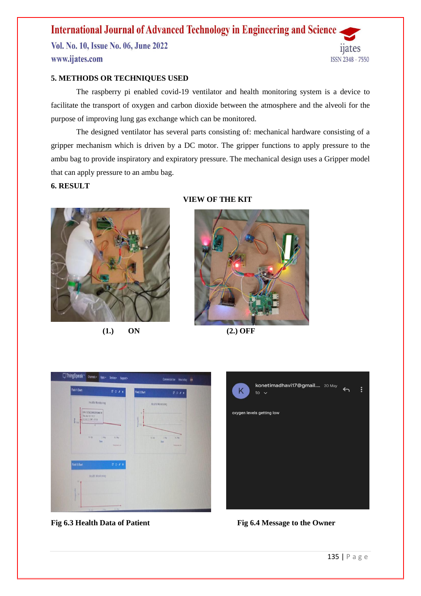# **International Journal of Advanced Technology in Engineering and Science**

Vol. No. 10, Issue No. 06, June 2022 www.ijates.com



#### **5. METHODS OR TECHNIQUES USED**

The raspberry pi enabled covid-19 ventilator and health monitoring system is a device to facilitate the transport of oxygen and carbon dioxide between the atmosphere and the alveoli for the purpose of improving lung gas exchange which can be monitored.

The designed ventilator has several parts consisting of: mechanical hardware consisting of a gripper mechanism which is driven by a DC motor. The gripper functions to apply pressure to the ambu bag to provide inspiratory and expiratory pressure. The mechanical design uses a Gripper model that can apply pressure to an ambu bag.

#### **6. RESULT**



**(1.) ON (2.) OFF**

#### **VIEW OF THE KIT**